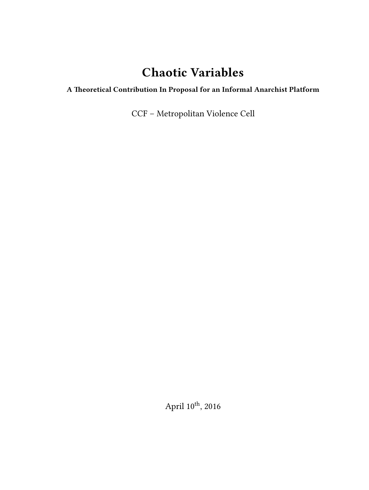# **Chaotic Variables**

## **A Theoretical Contribution In Proposal for an Informal Anarchist Platform**

CCF – Metropolitan Violence Cell

April  $10^{\rm th}$ , 2016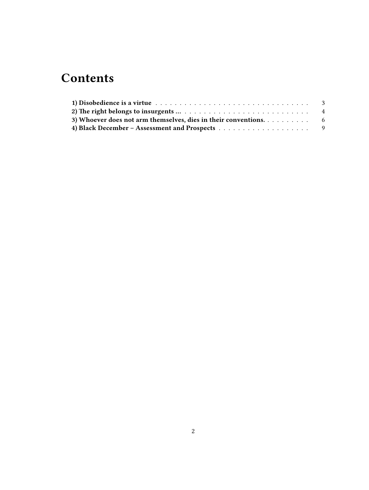# **Contents**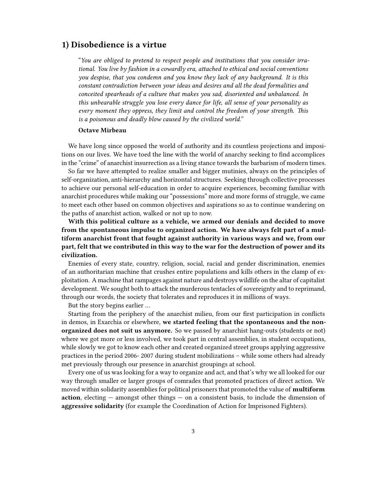### <span id="page-2-0"></span>**1) Disobedience is a virtue**

"*You are obliged to pretend to respect people and institutions that you consider irrational. You live by fashion in a cowardly era, attached to ethical and social conventions you despise, that you condemn and you know they lack of any background. It is this constant contradiction between your ideas and desires and all the dead formalities and conceited spearheads of a culture that makes you sad, disoriented and unbalanced. In this unbearable struggle you lose every dance for life, all sense of your personality as every moment they oppress, they limit and control the freedom of your strength. This is a poisonous and deadly blow caused by the civilized world."*

#### **Octave Mirbeau**

We have long since opposed the world of authority and its countless projections and impositions on our lives. We have toed the line with the world of anarchy seeking to find accomplices in the "crime" of anarchist insurrection as a living stance towards the barbarism of modern times.

So far we have attempted to realize smaller and bigger mutinies, always on the principles of self-organization, anti-hierarchy and horizontal structures. Seeking through collective processes to achieve our personal self-education in order to acquire experiences, becoming familiar with anarchist procedures while making our "possessions" more and more forms of struggle, we came to meet each other based on common objectives and aspirations so as to continue wandering on the paths of anarchist action, walked or not up to now.

**With this political culture as a vehicle, we armed our denials and decided to move from the spontaneous impulse to organized action. We have always felt part of a multiform anarchist front that fought against authority in various ways and we, from our part, felt that we contributed in this way to the war for the destruction of power and its civilization.**

Enemies of every state, country, religion, social, racial and gender discrimination, enemies of an authoritarian machine that crushes entire populations and kills others in the clamp of exploitation. A machine that rampages against nature and destroys wildlife on the altar of capitalist development. We sought both to attack the murderous tentacles of sovereignty and to reprimand, through our words, the society that tolerates and reproduces it in millions of ways.

But the story begins earlier …

Starting from the periphery of the anarchist milieu, from our first participation in conflicts in demos, in Exarchia or elsewhere, **we started feeling that the spontaneous and the nonorganized does not suit us anymore.** So we passed by anarchist hang-outs (students or not) where we got more or less involved, we took part in central assemblies, in student occupations, while slowly we got to know each other and created organized street groups applying aggressive practices in the period 2006- 2007 during student mobilizations – while some others had already met previously through our presence in anarchist groupings at school.

Every one of us was looking for a way to organize and act, and that's why we all looked for our way through smaller or larger groups of comrades that promoted practices of direct action. We moved within solidarity assemblies for political prisoners that promoted the value of **multiform action**, electing — amongst other things — on a consistent basis, to include the dimension of **aggressive solidarity** (for example the Coordination of Action for Imprisoned Fighters).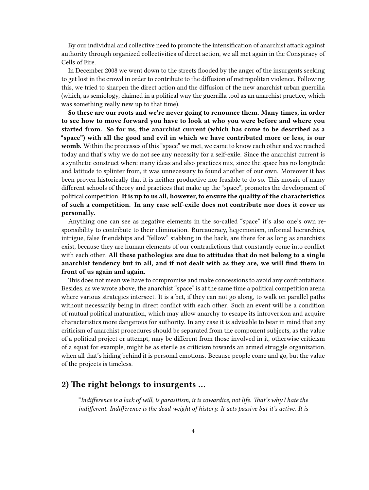By our individual and collective need to promote the intensification of anarchist attack against authority through organized collectivities of direct action, we all met again in the Conspiracy of Cells of Fire.

In December 2008 we went down to the streets flooded by the anger of the insurgents seeking to get lost in the crowd in order to contribute to the diffusion of metropolitan violence. Following this, we tried to sharpen the direct action and the diffusion of the new anarchist urban guerrilla (which, as semiology, claimed in a political way the guerrilla tool as an anarchist practice, which was something really new up to that time).

**So these are our roots and we're never going to renounce them. Many times, in order to see how to move forward you have to look at who you were before and where you started from. So for us, the anarchist current (which has come to be described as a "space") with all the good and evil in which we have contributed more or less, is our** womb. Within the processes of this "space" we met, we came to know each other and we reached today and that's why we do not see any necessity for a self-exile. Since the anarchist current is a synthetic construct where many ideas and also practices mix, since the space has no longitude and latitude to splinter from, it was unnecessary to found another of our own. Moreover it has been proven historically that it is neither productive nor feasible to do so. This mosaic of many different schools of theory and practices that make up the "space", promotes the development of political competition. **It is up to us all, however, to ensure the quality of the characteristics of such a competition. In any case self-exile does not contribute nor does it cover us personally.**

Anything one can see as negative elements in the so-called "space" it's also one's own responsibility to contribute to their elimination. Bureaucracy, hegemonism, informal hierarchies, intrigue, false friendships and "fellow" stabbing in the back, are there for as long as anarchists exist, because they are human elements of our contradictions that constantly come into conflict with each other. **All these pathologies are due to attitudes that do not belong to a single anarchist tendency but in all, and if not dealt with as they are, we will find them in front of us again and again.**

This does not mean we have to compromise and make concessions to avoid any confrontations. Besides, as we wrote above, the anarchist "space" is at the same time a political competition arena where various strategies intersect. It is a bet, if they can not go along, to walk on parallel paths without necessarily being in direct conflict with each other. Such an event will be a condition of mutual political maturation, which may allow anarchy to escape its introversion and acquire characteristics more dangerous for authority. In any case it is advisable to bear in mind that any criticism of anarchist procedures should be separated from the component subjects, as the value of a political project or attempt, may be different from those involved in it, otherwise criticism of a squat for example, might be as sterile as criticism towards an armed struggle organization, when all that's hiding behind it is personal emotions. Because people come and go, but the value of the projects is timeless.

## <span id="page-3-0"></span>**2) The right belongs to insurgents …**

"*Indifference is a lack of will, is parasitism, it is cowardice, not life. That's why I hate the indifferent. Indifference is the dead weight of history. It acts passive but it's active. It is*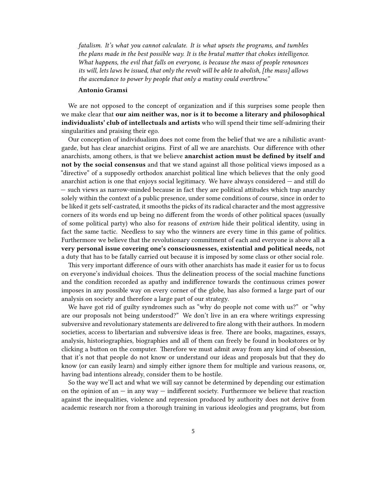*fatalism. It's what you cannot calculate. It is what upsets the programs, and tumbles the plans made in the best possible way. It is the brutal matter that chokes intelligence. What happens, the evil that falls on everyone, is because the mass of people renounces its will, lets laws be issued, that only the revolt will be able to abolish, [the mass] allows the ascendance to power by people that only a mutiny could overthrow."*

#### **Antonio Gramsi**

We are not opposed to the concept of organization and if this surprises some people then we make clear that **our aim neither was, nor is it to become a literary and philosophical individualists' club of intellectuals and artists** who will spend their time self-admiring their singularities and praising their ego.

Our conception of individualism does not come from the belief that we are a nihilistic avantgarde, but has clear anarchist origins. First of all we are anarchists. Our difference with other anarchists, among others, is that we believe **anarchist action must be defined by itself and not by the social consensus** and that we stand against all those political views imposed as a "directive" of a supposedly orthodox anarchist political line which believes that the only good anarchist action is one that enjoys social legitimacy. We have always considered  $-$  and still do — such views as narrow-minded because in fact they are political attitudes which trap anarchy solely within the context of a public presence, under some conditions of course, since in order to be liked it gets self-castrated, it smooths the picks of its radical character and the most aggressive corners of its words end up being no different from the words of other political spaces (usually of some political party) who also for reasons of *entrism* hide their political identity, using in fact the same tactic. Needless to say who the winners are every time in this game of politics. Furthermore we believe that the revolutionary commitment of each and everyone is above all **a very personal issue covering one's consciousnesses, existential and political needs,** not a duty that has to be fatally carried out because it is imposed by some class or other social role.

This very important difference of ours with other anarchists has made it easier for us to focus on everyone's individual choices. Thus the delineation process of the social machine functions and the condition recorded as apathy and indifference towards the continuous crimes power imposes in any possible way on every corner of the globe, has also formed a large part of our analysis on society and therefore a large part of our strategy.

We have got rid of guilty syndromes such as "why do people not come with us?" or "why are our proposals not being understood?" We don't live in an era where writings expressing subversive and revolutionary statements are delivered to fire along with their authors. In modern societies, access to libertarian and subversive ideas is free. There are books, magazines, essays, analysis, historiographies, biographies and all of them can freely be found in bookstores or by clicking a button on the computer. Therefore we must admit away from any kind of obsession, that it's not that people do not know or understand our ideas and proposals but that they do know (or can easily learn) and simply either ignore them for multiple and various reasons, or, having bad intentions already, consider them to be hostile.

So the way we'll act and what we will say cannot be determined by depending our estimation on the opinion of an  $-$  in any way  $-$  indifferent society. Furthermore we believe that reaction against the inequalities, violence and repression produced by authority does not derive from academic research nor from a thorough training in various ideologies and programs, but from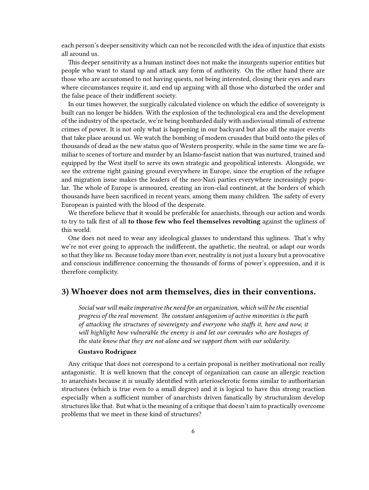each person's deeper sensitivity which can not be reconciled with the idea of injustice that exists all around us.

This deeper sensitivity as a human instinct does not make the insurgents superior entities but people who want to stand up and attack any form of authority. On the other hand there are those who are accustomed to not having quests, not being interested, closing their eyes and ears where circumstances require it, and end up arguing with all those who disturbed the order and the false peace of their indifferent society.

In our times however, the surgically calculated violence on which the edifice of sovereignty is built can no longer be hidden. With the explosion of the technological era and the development of the industry of the spectacle, we're being bombarded daily with audiovisual stimuli of extreme crimes of power. It is not only what is happening in our backyard but also all the major events that take place around us. We watch the bombing of modern crusades that build onto the piles of thousands of dead as the new status quo of Western prosperity, while in the same time we are familiar to scenes of torture and murder by an Islamo-fascist nation that was nurtured, trained and equipped by the West itself to serve its own strategic and geopolitical interests. Alongside, we see the extreme right gaining ground everywhere in Europe, since the eruption of the refugee and migration issue makes the leaders of the neo-Nazi parties everywhere increasingly popular. The whole of Europe is armoured, creating an iron-clad continent, at the borders of which thousands have been sacrificed in recent years, among them many children. The safety of every European is painted with the blood of the desperate.

We therefore believe that it would be preferable for anarchists, through our action and words to try to talk first of all **to those few who feel themselves revolting** against the ugliness of this world.

One does not need to wear any ideological glasses to understand this ugliness. That's why we're not ever going to approach the indifferent, the apathetic, the neutral, or adapt our words so that they like us. Because today more than ever, neutrality is not just a luxury but a provocative and conscious indifference concerning the thousands of forms of power's oppression, and it is therefore complicity.

### <span id="page-5-0"></span>**3) Whoever does not arm themselves, dies in their conventions.**

*Social war will make imperative the need for an organization, which will be the essential progress of the real movement. The constant antagonism of active minorities is the path of attacking the structures of sovereignty and everyone who staffs it, here and now, it will highlight how vulnerable the enemy is and let our comrades who are hostages of the state know that they are not alone and we support them with our solidarity.*

#### **Gustavo Rodriguez**

Any critique that does not correspond to a certain proposal is neither motivational nor really antagonistic. It is well known that the concept of organization can cause an allergic reaction to anarchists because it is usually identified with arteriosclerotic forms similar to authoritarian structures (which is true even to a small degree) and it is logical to have this strong reaction especially when a sufficient number of anarchists driven fanatically by structuralism develop structures like that. But what is the meaning of a critique that doesn't aim to practically overcome problems that we meet in these kind of structures?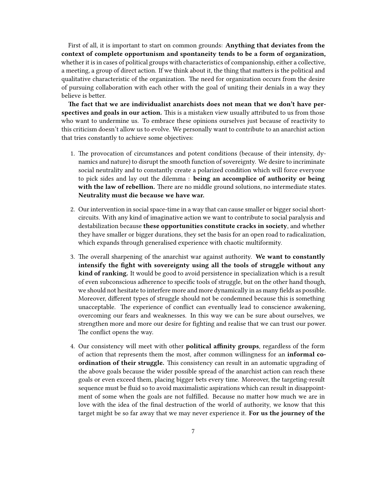First of all, it is important to start on common grounds: **Anything that deviates from the context of complete opportunism and spontaneity tends to be a form of organization,** whether it is in cases of political groups with characteristics of companionship, either a collective, a meeting, a group of direct action. If we think about it, the thing that matters is the political and qualitative characteristic of the organization. The need for organization occurs from the desire of pursuing collaboration with each other with the goal of uniting their denials in a way they believe is better.

**The fact that we are individualist anarchists does not mean that we don't have perspectives and goals in our action.** This is a mistaken view usually attributed to us from those who want to undermine us. To embrace these opinions ourselves just because of reactivity to this criticism doesn't allow us to evolve. We personally want to contribute to an anarchist action that tries constantly to achieve some objectives:

- 1. The provocation of circumstances and potent conditions (because of their intensity, dynamics and nature) to disrupt the smooth function of sovereignty. We desire to incriminate social neutrality and to constantly create a polarized condition which will force everyone to pick sides and lay out the dilemma : **being an accomplice of authority or being with the law of rebellion.** There are no middle ground solutions, no intermediate states. **Neutrality must die because we have war.**
- 2. Our intervention in social space-time in a way that can cause smaller or bigger social shortcircuits. With any kind of imaginative action we want to contribute to social paralysis and destabilization because **these opportunities constitute cracks in society**, and whether they have smaller or bigger durations, they set the basis for an open road to radicalization, which expands through generalised experience with chaotic multiformity.
- 3. The overall sharpening of the anarchist war against authority. **We want to constantly intensify the fight with sovereignty using all the tools of struggle without any kind of ranking.** It would be good to avoid persistence in specialization which is a result of even subconscious adherence to specific tools of struggle, but on the other hand though, we should not hesitate to interfere more and more dynamically in as many fields as possible. Moreover, different types of struggle should not be condemned because this is something unacceptable. The experience of conflict can eventually lead to conscience awakening, overcoming our fears and weaknesses. In this way we can be sure about ourselves, we strengthen more and more our desire for fighting and realise that we can trust our power. The conflict opens the way.
- 4. Our consistency will meet with other **political affinity groups**, regardless of the form of action that represents them the most, after common willingness for an **informal coordination of their struggle.** This consistency can result in an automatic upgrading of the above goals because the wider possible spread of the anarchist action can reach these goals or even exceed them, placing bigger bets every time. Moreover, the targeting-result sequence must be fluid so to avoid maximalistic aspirations which can result in disappointment of some when the goals are not fulfilled. Because no matter how much we are in love with the idea of the final destruction of the world of authority, we know that this target might be so far away that we may never experience it. **For us the journey of the**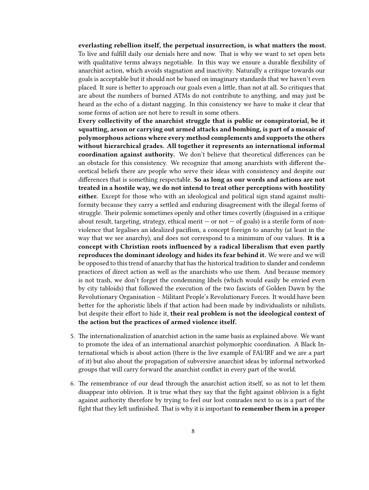**everlasting rebellion itself, the perpetual insurrection, is what matters the most.** To live and fulfill daily our denials here and now. That is why we want to set open bets with qualitative terms always negotiable. In this way we ensure a durable flexibility of anarchist action, which avoids stagnation and inactivity. Naturally a critique towards our goals is acceptable but it should not be based on imaginary standards that we haven't even placed. It sure is better to approach our goals even a little, than not at all. So critiques that are about the numbers of burned ATMs do not contribute to anything, and may just be heard as the echo of a distant nagging. In this consistency we have to make it clear that some forms of action are not here to result in some others.

**Every collectivity of the anarchist struggle that is public or conspiratorial, be it squatting, arson or carrying out armed attacks and bombing, is part of a mosaic of polymorphous actions where every method complements and supports the others without hierarchical grades. All together it represents an international informal coordination against authority.** We don't believe that theoretical differences can be an obstacle for this consistency. We recognize that among anarchists with different theoretical beliefs there are people who serve their ideas with consistency and despite our differences that is something respectable. **So as long as our words and actions are not treated in a hostile way, we do not intend to treat other perceptions with hostility either.** Except for those who with an ideological and political sign stand against multiformity because they carry a settled and enduring disagreement with the illegal forms of struggle. Their polemic sometimes openly and other times covertly (disguised in a critique about result, targeting, strategy, ethical merit  $-$  or not  $-$  of goals) is a sterile form of nonviolence that legalises an idealized pacifism, a concept foreign to anarchy (at least in the way that we see anarchy), and does not correspond to a minimum of our values. **It is a concept with Christian roots influenced by a radical liberalism that even partly reproduces the dominant ideology and hides its fear behind it.** We were and we will be opposed to this trend of anarchy that has the historical tradition to slander and condemn practices of direct action as well as the anarchists who use them. And because memory is not trash, we don't forget the condemning libels (which would easily be envied even by city tabloids) that followed the execution of the two fascists of Golden Dawn by the Revolutionary Organisation – Militant People's Revolutionary Forces. It would have been better for the aphoristic libels if that action had been made by individualists or nihilists, but despite their effort to hide it, **their real problem is not the ideological context of the action but the practices of armed violence itself.**

- 5. The internationalization of anarchist action in the same basis as explained above. We want to promote the idea of an international anarchist polymorphic coordination. A Black International which is about action (there is the live example of FAI/IRF and we are a part of it) but also about the propagation of subversive anarchist ideas by informal networked groups that will carry forward the anarchist conflict in every part of the world.
- 6. The remembrance of our dead through the anarchist action itself, so as not to let them disappear into oblivion. It is true what they say that the fight against oblivion is a fight against authority therefore by trying to feel our lost comrades next to us is a part of the fight that they left unfinished. That is why it is important **to remember them in a proper**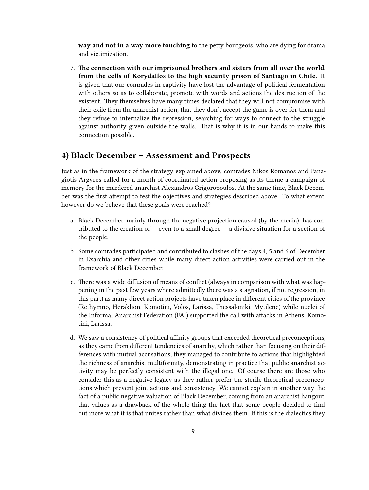**way and not in a way more touching** to the petty bourgeois, who are dying for drama and victimization.

7. **The connection with our imprisoned brothers and sisters from all over the world, from the cells of Korydallos to the high security prison of Santiago in Chile.** It is given that our comrades in captivity have lost the advantage of political fermentation with others so as to collaborate, promote with words and actions the destruction of the existent. They themselves have many times declared that they will not compromise with their exile from the anarchist action, that they don't accept the game is over for them and they refuse to internalize the repression, searching for ways to connect to the struggle against authority given outside the walls. That is why it is in our hands to make this connection possible.

## <span id="page-8-0"></span>**4) Black December – Assessment and Prospects**

Just as in the framework of the strategy explained above, comrades Nikos Romanos and Panagiotis Argyros called for a month of coordinated action proposing as its theme a campaign of memory for the murdered anarchist Alexandros Grigoropoulos. At the same time, Black December was the first attempt to test the objectives and strategies described above. To what extent, however do we believe that these goals were reached?

- a. Black December, mainly through the negative projection caused (by the media), has contributed to the creation of  $-$  even to a small degree  $-$  a divisive situation for a section of the people.
- b. Some comrades participated and contributed to clashes of the days 4, 5 and 6 of December in Exarchia and other cities while many direct action activities were carried out in the framework of Black December.
- c. There was a wide diffusion of means of conflict (always in comparison with what was happening in the past few years where admittedly there was a stagnation, if not regression, in this part) as many direct action projects have taken place in different cities of the province (Rethymno, Heraklion, Komotini, Volos, Larissa, Thessaloniki, Mytilene) while nuclei of the Informal Anarchist Federation (FAI) supported the call with attacks in Athens, Komotini, Larissa.
- d. We saw a consistency of political affinity groups that exceeded theoretical preconceptions, as they came from different tendencies of anarchy, which rather than focusing on their differences with mutual accusations, they managed to contribute to actions that highlighted the richness of anarchist multiformity, demonstrating in practice that public anarchist activity may be perfectly consistent with the illegal one. Of course there are those who consider this as a negative legacy as they rather prefer the sterile theoretical preconceptions which prevent joint actions and consistency. We cannot explain in another way the fact of a public negative valuation of Black December, coming from an anarchist hangout, that values as a drawback of the whole thing the fact that some people decided to find out more what it is that unites rather than what divides them. If this is the dialectics they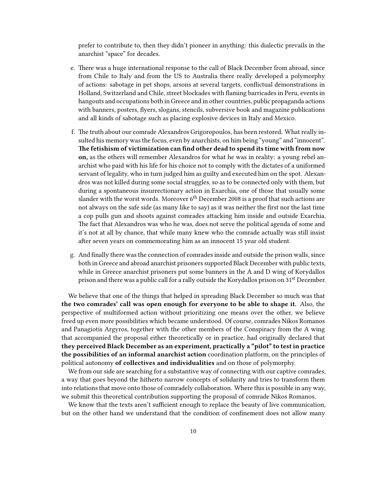prefer to contribute to, then they didn't pioneer in anything: this dialectic prevails in the anarchist "space" for decades.

- e. There was a huge international response to the call of Black December from abroad, since from Chile to Italy and from the US to Australia there really developed a polymorphy of actions: sabotage in pet shops, arsons at several targets, conflictual demonstrations in Holland, Switzerland and Chile, street blockades with flaming barricades in Peru, events in hangouts and occupations both in Greece and in other countries, public propaganda actions with banners, posters, flyers, slogans, stencils, subversive book and magazine publications and all kinds of sabotage such as placing explosive devices in Italy and Mexico.
- f. The truth about our comrade Alexandros Grigoropoulos, has been restored. What really insulted his memory was the focus, even by anarchists, on him being "young" and "innocent". **The fetishism of victimization can find other dead to spend its time with from now on,** as the others will remember Alexandros for what he was in reality: a young rebel anarchist who paid with his life for his choice not to comply with the dictates of a uniformed servant of legality, who in turn judged him as guilty and executed him on the spot. Alexandros was not killed during some social struggles, so as to be connected only with them, but during a spontaneous insurrectionary action in Exarchia, one of those that usually some slander with the worst words. Moreover  $6<sup>th</sup>$  December 2008 is a proof that such actions are not always on the safe side (as many like to say) as it was neither the first nor the last time a cop pulls gun and shoots against comrades attacking him inside and outside Exarchia. The fact that Alexandros was who he was, does not serve the political agenda of some and it's not at all by chance, that while many knew who the comrade actually was still insist after seven years on commemorating him as an innocent 15 year old student.
- g. And finally there was the connection of comrades inside and outside the prison walls, since both in Greece and abroad anarchist prisoners supported Black December with public texts, while in Greece anarchist prisoners put some banners in the A and D wing of Korydallos prison and there was a public call for a rally outside the Korydallos prison on 31st December.

We believe that one of the things that helped in spreading Black December so much was that **the two comrades' call was open enough for everyone to be able to shape it.** Also, the perspective of multiformed action without prioritizing one means over the other, we believe freed up even more possibilities which became understood. Of course, comrades Nikos Romanos and Panagiotis Argyros, together with the other members of the Conspiracy from the A wing that accompanied the proposal either theoretically or in practice, had originally declared that **they perceived Black December as an experiment, practically a "pilot" to test in practice the possibilities of an informal anarchist action** coordination platform, on the principles of political autonomy **of collectives and individualities** and on those of polymorphy.

We from our side are searching for a substantive way of connecting with our captive comrades, a way that goes beyond the hitherto narrow concepts of solidarity and tries to transform them into relations that move onto those of comradely collaboration. Where this is possible in any way, we submit this theoretical contribution supporting the proposal of comrade Nikos Romanos.

We know that the texts aren't sufficient enough to replace the beauty of live communication, but on the other hand we understand that the condition of confinement does not allow many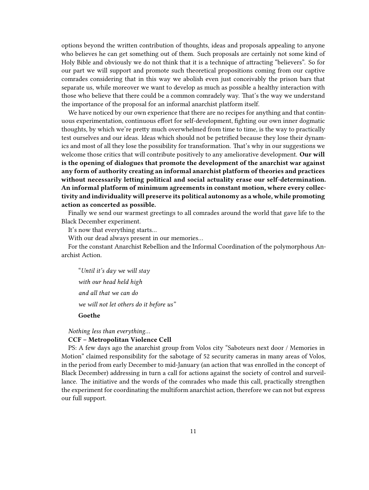options beyond the written contribution of thoughts, ideas and proposals appealing to anyone who believes he can get something out of them. Such proposals are certainly not some kind of Holy Bible and obviously we do not think that it is a technique of attracting "believers". So for our part we will support and promote such theoretical propositions coming from our captive comrades considering that in this way we abolish even just conceivably the prison bars that separate us, while moreover we want to develop as much as possible a healthy interaction with those who believe that there could be a common comradely way. That's the way we understand the importance of the proposal for an informal anarchist platform itself.

We have noticed by our own experience that there are no recipes for anything and that continuous experimentation, continuous effort for self-development, fighting our own inner dogmatic thoughts, by which we're pretty much overwhelmed from time to time, is the way to practically test ourselves and our ideas. Ideas which should not be petrified because they lose their dynamics and most of all they lose the possibility for transformation. That's why in our suggestions we welcome those critics that will contribute positively to any ameliorative development. **Our will is the opening of dialogues that promote the development of the anarchist war against any form of authority creating an informal anarchist platform of theories and practices without necessarily letting political and social actuality erase our self-determination. An informal platform of minimum agreements in constant motion, where every collectivity and individuality will preserve its political autonomy as a whole, while promoting action as concerted as possible.**

Finally we send our warmest greetings to all comrades around the world that gave life to the Black December experiment.

It's now that everything starts…

With our dead always present in our memories…

For the constant Anarchist Rebellion and the Informal Coordination of the polymorphous Anarchist Action.

"*Until it's day we will stay with our head held high and all that we can do we will not let others do it before us"*

**Goethe**

*Nothing less than everything…*

#### **CCF – Metropolitan Violence Cell**

PS: A few days ago the anarchist group from Volos city "Saboteurs next door / Memories in Motion" claimed responsibility for the sabotage of 52 security cameras in many areas of Volos, in the period from early December to mid-January (an action that was enrolled in the concept of Black December) addressing in turn a call for actions against the society of control and surveillance. The initiative and the words of the comrades who made this call, practically strengthen the experiment for coordinating the multiform anarchist action, therefore we can not but express our full support.